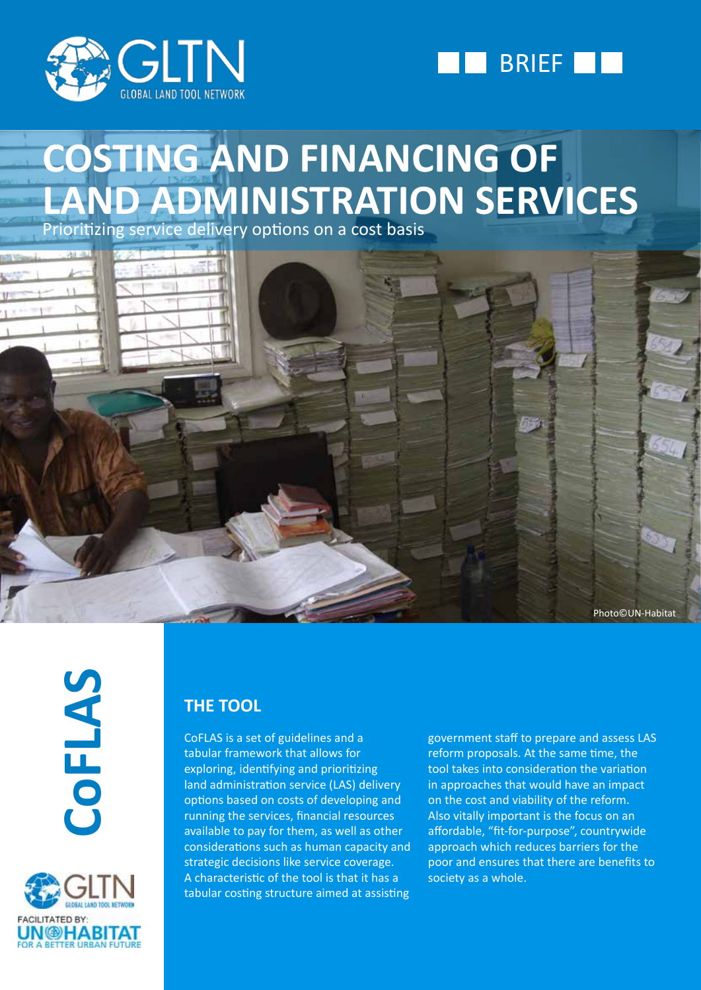



# **COSTING AND FINANCING OF LAND ADMINISTRATION SERVICES**

Prioritizing service delivery options on a cost basis



**CoFLAS**



### **THE TOOL**

CoFLAS is a set of guidelines and a tabular framework that allows for exploring, identifying and prioritizing land administration service (LAS) delivery options based on costs of developing and running the services, financial resources available to pay for them, as well as other considerations such as human capacity and strategic decisions like service coverage. A characteristic of the tool is that it has a tabular costing structure aimed at assisting

government staff to prepare and assess LAS reform proposals. At the same time, the tool takes into consideration the variation in approaches that would have an impact on the cost and viability of the reform. Also vitally important is the focus on an affordable, "fit-for-purpose", countrywide approach which reduces barriers for the poor and ensures that there are benefits to society as a whole.